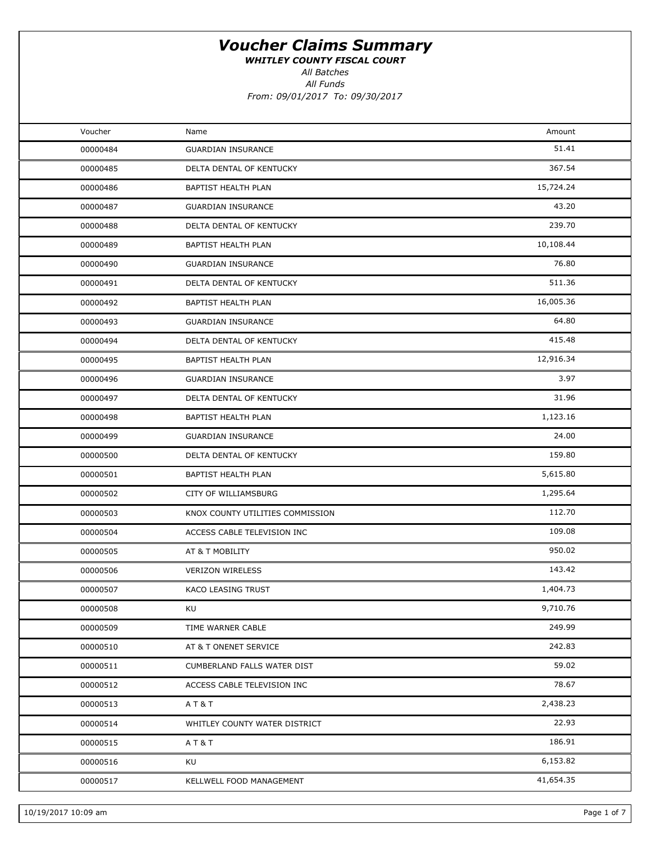WHITLEY COUNTY FISCAL COURT

All Batches

All Funds From: 09/01/2017 To: 09/30/2017

| Voucher  | Name                             | Amount    |  |
|----------|----------------------------------|-----------|--|
| 00000484 | <b>GUARDIAN INSURANCE</b>        | 51.41     |  |
| 00000485 | DELTA DENTAL OF KENTUCKY         | 367.54    |  |
| 00000486 | <b>BAPTIST HEALTH PLAN</b>       | 15,724.24 |  |
| 00000487 | <b>GUARDIAN INSURANCE</b>        | 43.20     |  |
| 00000488 | DELTA DENTAL OF KENTUCKY         | 239.70    |  |
| 00000489 | BAPTIST HEALTH PLAN              | 10,108.44 |  |
| 00000490 | <b>GUARDIAN INSURANCE</b>        | 76.80     |  |
| 00000491 | DELTA DENTAL OF KENTUCKY         | 511.36    |  |
| 00000492 | BAPTIST HEALTH PLAN              | 16,005.36 |  |
| 00000493 | <b>GUARDIAN INSURANCE</b>        | 64.80     |  |
| 00000494 | DELTA DENTAL OF KENTUCKY         | 415.48    |  |
| 00000495 | BAPTIST HEALTH PLAN              | 12,916.34 |  |
| 00000496 | <b>GUARDIAN INSURANCE</b>        | 3.97      |  |
| 00000497 | DELTA DENTAL OF KENTUCKY         | 31.96     |  |
| 00000498 | BAPTIST HEALTH PLAN              | 1,123.16  |  |
| 00000499 | <b>GUARDIAN INSURANCE</b>        | 24.00     |  |
| 00000500 | DELTA DENTAL OF KENTUCKY         | 159.80    |  |
| 00000501 | BAPTIST HEALTH PLAN              | 5,615.80  |  |
| 00000502 | CITY OF WILLIAMSBURG             | 1,295.64  |  |
| 00000503 | KNOX COUNTY UTILITIES COMMISSION | 112.70    |  |
| 00000504 | ACCESS CABLE TELEVISION INC      | 109.08    |  |
| 00000505 | AT & T MOBILITY                  | 950.02    |  |
| 00000506 | <b>VERIZON WIRELESS</b>          | 143.42    |  |
| 00000507 | KACO LEASING TRUST               | 1,404.73  |  |
| 00000508 | KU                               | 9,710.76  |  |
| 00000509 | TIME WARNER CABLE                | 249.99    |  |
| 00000510 | AT & T ONENET SERVICE            | 242.83    |  |
| 00000511 | CUMBERLAND FALLS WATER DIST      | 59.02     |  |
| 00000512 | ACCESS CABLE TELEVISION INC      | 78.67     |  |
| 00000513 | AT&T                             | 2,438.23  |  |
| 00000514 | WHITLEY COUNTY WATER DISTRICT    | 22.93     |  |
| 00000515 | AT&T                             | 186.91    |  |
| 00000516 | KU                               | 6,153.82  |  |
| 00000517 | KELLWELL FOOD MANAGEMENT         | 41,654.35 |  |
|          |                                  |           |  |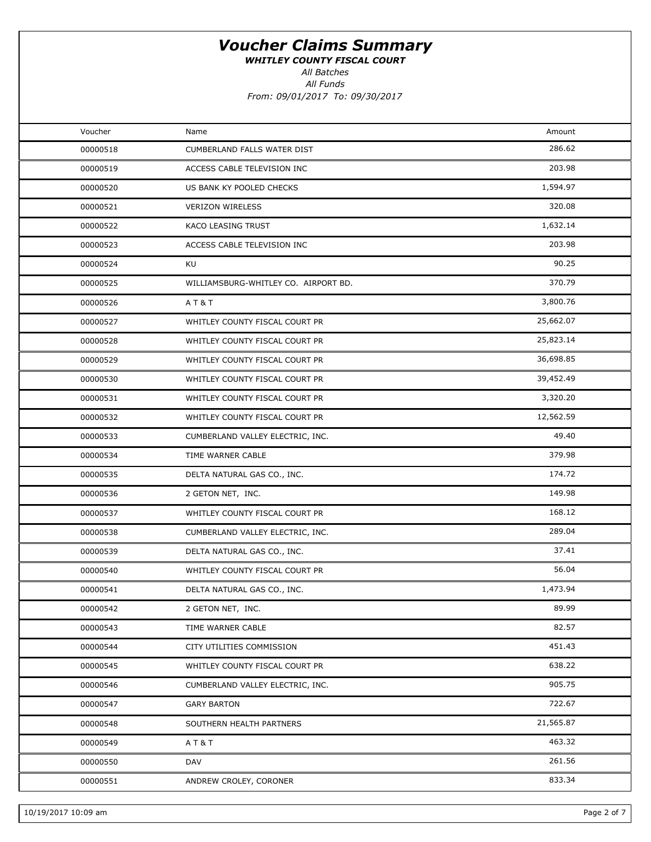WHITLEY COUNTY FISCAL COURT

All Batches

All Funds

| Voucher  | Name                                 | Amount    |  |
|----------|--------------------------------------|-----------|--|
| 00000518 | CUMBERLAND FALLS WATER DIST          | 286.62    |  |
| 00000519 | ACCESS CABLE TELEVISION INC          | 203.98    |  |
| 00000520 | US BANK KY POOLED CHECKS             | 1,594.97  |  |
| 00000521 | <b>VERIZON WIRELESS</b>              | 320.08    |  |
| 00000522 | KACO LEASING TRUST                   | 1,632.14  |  |
| 00000523 | ACCESS CABLE TELEVISION INC          | 203.98    |  |
| 00000524 | KU                                   | 90.25     |  |
| 00000525 | WILLIAMSBURG-WHITLEY CO. AIRPORT BD. | 370.79    |  |
| 00000526 | AT&T                                 | 3,800.76  |  |
| 00000527 | WHITLEY COUNTY FISCAL COURT PR       | 25,662.07 |  |
| 00000528 | WHITLEY COUNTY FISCAL COURT PR       | 25,823.14 |  |
| 00000529 | WHITLEY COUNTY FISCAL COURT PR       | 36,698.85 |  |
| 00000530 | WHITLEY COUNTY FISCAL COURT PR       | 39,452.49 |  |
| 00000531 | WHITLEY COUNTY FISCAL COURT PR       | 3,320.20  |  |
| 00000532 | WHITLEY COUNTY FISCAL COURT PR       | 12,562.59 |  |
| 00000533 | CUMBERLAND VALLEY ELECTRIC, INC.     | 49.40     |  |
| 00000534 | TIME WARNER CABLE                    | 379.98    |  |
| 00000535 | DELTA NATURAL GAS CO., INC.          | 174.72    |  |
| 00000536 | 2 GETON NET, INC.                    | 149.98    |  |
| 00000537 | WHITLEY COUNTY FISCAL COURT PR       | 168.12    |  |
| 00000538 | CUMBERLAND VALLEY ELECTRIC, INC.     | 289.04    |  |
| 00000539 | DELTA NATURAL GAS CO., INC.          | 37.41     |  |
| 00000540 | WHITLEY COUNTY FISCAL COURT PR       | 56.04     |  |
| 00000541 | DELTA NATURAL GAS CO., INC.          | 1,473.94  |  |
| 00000542 | 2 GETON NET, INC.                    | 89.99     |  |
| 00000543 | TIME WARNER CABLE                    | 82.57     |  |
| 00000544 | CITY UTILITIES COMMISSION            | 451.43    |  |
| 00000545 | WHITLEY COUNTY FISCAL COURT PR       | 638.22    |  |
| 00000546 | CUMBERLAND VALLEY ELECTRIC, INC.     | 905.75    |  |
| 00000547 | <b>GARY BARTON</b>                   | 722.67    |  |
| 00000548 | SOUTHERN HEALTH PARTNERS             | 21,565.87 |  |
| 00000549 | AT&T                                 | 463.32    |  |
| 00000550 | DAV                                  | 261.56    |  |
| 00000551 | ANDREW CROLEY, CORONER               | 833.34    |  |
|          |                                      |           |  |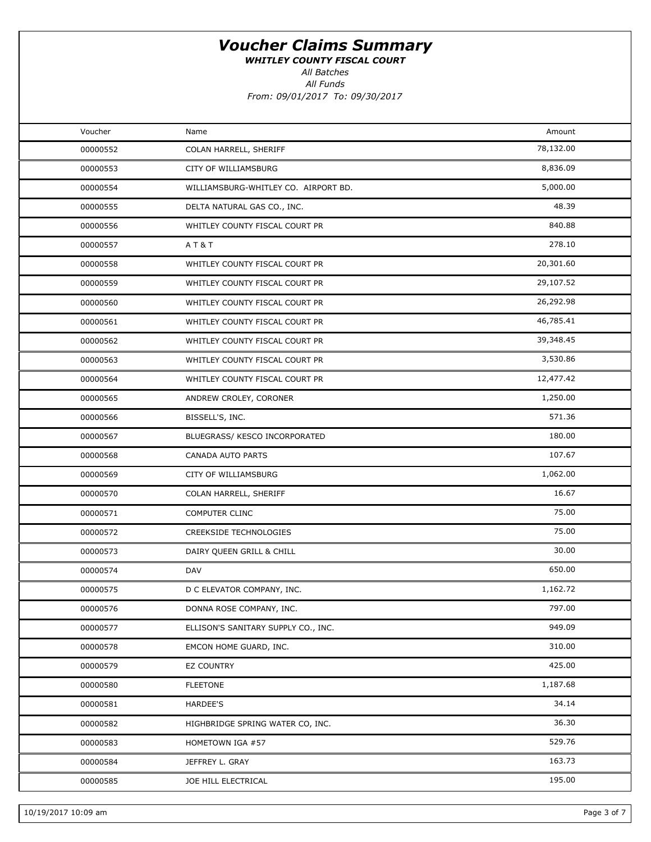WHITLEY COUNTY FISCAL COURT

All Batches

All Funds

| Voucher  | Name                                 | Amount    |  |
|----------|--------------------------------------|-----------|--|
| 00000552 | COLAN HARRELL, SHERIFF               | 78,132.00 |  |
| 00000553 | CITY OF WILLIAMSBURG                 | 8,836.09  |  |
| 00000554 | WILLIAMSBURG-WHITLEY CO. AIRPORT BD. | 5,000.00  |  |
| 00000555 | DELTA NATURAL GAS CO., INC.          | 48.39     |  |
| 00000556 | WHITLEY COUNTY FISCAL COURT PR       | 840.88    |  |
| 00000557 | AT&T                                 | 278.10    |  |
| 00000558 | WHITLEY COUNTY FISCAL COURT PR       | 20,301.60 |  |
| 00000559 | WHITLEY COUNTY FISCAL COURT PR       | 29,107.52 |  |
| 00000560 | WHITLEY COUNTY FISCAL COURT PR       | 26,292.98 |  |
| 00000561 | WHITLEY COUNTY FISCAL COURT PR       | 46,785.41 |  |
| 00000562 | WHITLEY COUNTY FISCAL COURT PR       | 39,348.45 |  |
| 00000563 | WHITLEY COUNTY FISCAL COURT PR       | 3,530.86  |  |
| 00000564 | WHITLEY COUNTY FISCAL COURT PR       | 12,477.42 |  |
| 00000565 | ANDREW CROLEY, CORONER               | 1,250.00  |  |
| 00000566 | BISSELL'S, INC.                      | 571.36    |  |
| 00000567 | BLUEGRASS/ KESCO INCORPORATED        | 180.00    |  |
| 00000568 | CANADA AUTO PARTS                    | 107.67    |  |
| 00000569 | CITY OF WILLIAMSBURG                 | 1,062.00  |  |
| 00000570 | COLAN HARRELL, SHERIFF               | 16.67     |  |
| 00000571 | COMPUTER CLINC                       | 75.00     |  |
| 00000572 | <b>CREEKSIDE TECHNOLOGIES</b>        | 75.00     |  |
| 00000573 | DAIRY QUEEN GRILL & CHILL            | 30.00     |  |
| 00000574 | DAV                                  | 650.00    |  |
| 00000575 | D C ELEVATOR COMPANY, INC.           | 1,162.72  |  |
| 00000576 | DONNA ROSE COMPANY, INC.             | 797.00    |  |
| 00000577 | ELLISON'S SANITARY SUPPLY CO., INC.  | 949.09    |  |
| 00000578 | EMCON HOME GUARD, INC.               | 310.00    |  |
| 00000579 | <b>EZ COUNTRY</b>                    | 425.00    |  |
| 00000580 | <b>FLEETONE</b>                      | 1,187.68  |  |
| 00000581 | HARDEE'S                             | 34.14     |  |
| 00000582 | HIGHBRIDGE SPRING WATER CO, INC.     | 36.30     |  |
| 00000583 | HOMETOWN IGA #57                     | 529.76    |  |
| 00000584 | JEFFREY L. GRAY                      | 163.73    |  |
| 00000585 | JOE HILL ELECTRICAL                  | 195.00    |  |
|          |                                      |           |  |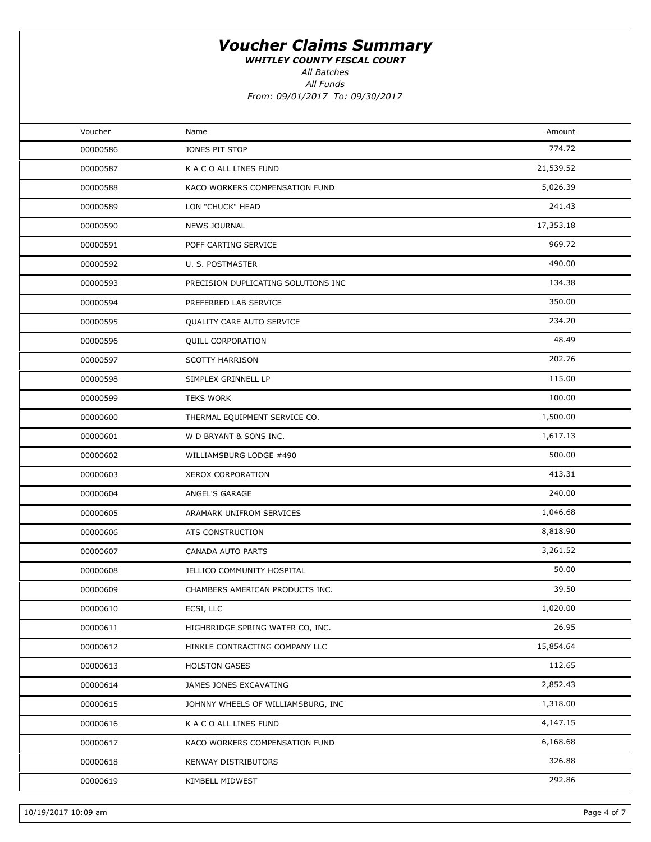WHITLEY COUNTY FISCAL COURT

All Batches

All Funds

| Voucher  | Name                                | Amount    |  |
|----------|-------------------------------------|-----------|--|
| 00000586 | JONES PIT STOP                      | 774.72    |  |
| 00000587 | K A C O ALL LINES FUND              | 21,539.52 |  |
| 00000588 | KACO WORKERS COMPENSATION FUND      | 5,026.39  |  |
| 00000589 | LON "CHUCK" HEAD                    | 241.43    |  |
| 00000590 | <b>NEWS JOURNAL</b>                 | 17,353.18 |  |
| 00000591 | POFF CARTING SERVICE                | 969.72    |  |
| 00000592 | U. S. POSTMASTER                    | 490.00    |  |
| 00000593 | PRECISION DUPLICATING SOLUTIONS INC | 134.38    |  |
| 00000594 | PREFERRED LAB SERVICE               | 350.00    |  |
| 00000595 | QUALITY CARE AUTO SERVICE           | 234.20    |  |
| 00000596 | QUILL CORPORATION                   | 48.49     |  |
| 00000597 | <b>SCOTTY HARRISON</b>              | 202.76    |  |
| 00000598 | SIMPLEX GRINNELL LP                 | 115.00    |  |
| 00000599 | <b>TEKS WORK</b>                    | 100.00    |  |
| 00000600 | THERMAL EQUIPMENT SERVICE CO.       | 1,500.00  |  |
| 00000601 | W D BRYANT & SONS INC.              | 1,617.13  |  |
| 00000602 | WILLIAMSBURG LODGE #490             | 500.00    |  |
| 00000603 | XEROX CORPORATION                   | 413.31    |  |
| 00000604 | ANGEL'S GARAGE                      | 240.00    |  |
| 00000605 | ARAMARK UNIFROM SERVICES            | 1,046.68  |  |
| 00000606 | ATS CONSTRUCTION                    | 8,818.90  |  |
| 00000607 | CANADA AUTO PARTS                   | 3,261.52  |  |
| 00000608 | JELLICO COMMUNITY HOSPITAL          | 50.00     |  |
| 00000609 | CHAMBERS AMERICAN PRODUCTS INC.     | 39.50     |  |
| 00000610 | ECSI, LLC                           | 1,020.00  |  |
| 00000611 | HIGHBRIDGE SPRING WATER CO, INC.    | 26.95     |  |
| 00000612 | HINKLE CONTRACTING COMPANY LLC      | 15,854.64 |  |
| 00000613 | <b>HOLSTON GASES</b>                | 112.65    |  |
| 00000614 | JAMES JONES EXCAVATING              | 2,852.43  |  |
| 00000615 | JOHNNY WHEELS OF WILLIAMSBURG, INC  | 1,318.00  |  |
| 00000616 | K A C O ALL LINES FUND              | 4,147.15  |  |
| 00000617 | KACO WORKERS COMPENSATION FUND      | 6,168.68  |  |
| 00000618 | <b>KENWAY DISTRIBUTORS</b>          | 326.88    |  |
| 00000619 | KIMBELL MIDWEST                     | 292.86    |  |
|          |                                     |           |  |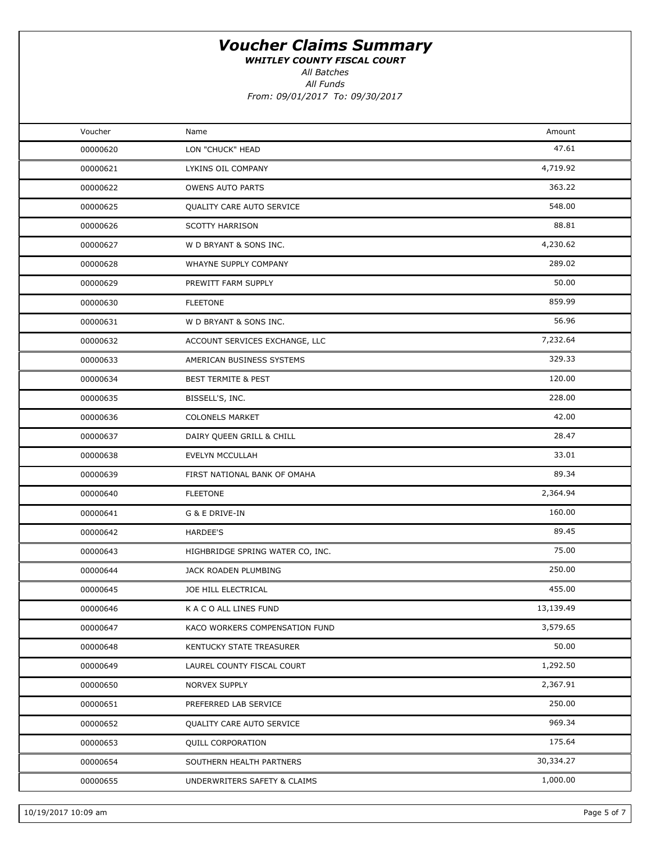WHITLEY COUNTY FISCAL COURT

All Batches

All Funds

| Voucher  | Name                             | Amount    |  |
|----------|----------------------------------|-----------|--|
| 00000620 | LON "CHUCK" HEAD                 | 47.61     |  |
| 00000621 | LYKINS OIL COMPANY               | 4,719.92  |  |
| 00000622 | <b>OWENS AUTO PARTS</b>          | 363.22    |  |
| 00000625 | QUALITY CARE AUTO SERVICE        | 548.00    |  |
| 00000626 | <b>SCOTTY HARRISON</b>           | 88.81     |  |
| 00000627 | W D BRYANT & SONS INC.           | 4,230.62  |  |
| 00000628 | WHAYNE SUPPLY COMPANY            | 289.02    |  |
| 00000629 | PREWITT FARM SUPPLY              | 50.00     |  |
| 00000630 | <b>FLEETONE</b>                  | 859.99    |  |
| 00000631 | W D BRYANT & SONS INC.           | 56.96     |  |
| 00000632 | ACCOUNT SERVICES EXCHANGE, LLC   | 7,232.64  |  |
| 00000633 | AMERICAN BUSINESS SYSTEMS        | 329.33    |  |
| 00000634 | <b>BEST TERMITE &amp; PEST</b>   | 120.00    |  |
| 00000635 | BISSELL'S, INC.                  | 228.00    |  |
| 00000636 | <b>COLONELS MARKET</b>           | 42.00     |  |
| 00000637 | DAIRY QUEEN GRILL & CHILL        | 28.47     |  |
| 00000638 | EVELYN MCCULLAH                  | 33.01     |  |
| 00000639 | FIRST NATIONAL BANK OF OMAHA     | 89.34     |  |
| 00000640 | <b>FLEETONE</b>                  | 2,364.94  |  |
| 00000641 | G & E DRIVE-IN                   | 160.00    |  |
| 00000642 | <b>HARDEE'S</b>                  | 89.45     |  |
| 00000643 | HIGHBRIDGE SPRING WATER CO, INC. | 75.00     |  |
| 00000644 | JACK ROADEN PLUMBING             | 250.00    |  |
| 00000645 | JOE HILL ELECTRICAL              | 455.00    |  |
| 00000646 | K A C O ALL LINES FUND           | 13,139.49 |  |
| 00000647 | KACO WORKERS COMPENSATION FUND   | 3,579.65  |  |
| 00000648 | KENTUCKY STATE TREASURER         | 50.00     |  |
| 00000649 | LAUREL COUNTY FISCAL COURT       | 1,292.50  |  |
| 00000650 | NORVEX SUPPLY                    | 2,367.91  |  |
| 00000651 | PREFERRED LAB SERVICE            | 250.00    |  |
| 00000652 | QUALITY CARE AUTO SERVICE        | 969.34    |  |
| 00000653 | <b>QUILL CORPORATION</b>         | 175.64    |  |
| 00000654 | SOUTHERN HEALTH PARTNERS         | 30,334.27 |  |
| 00000655 | UNDERWRITERS SAFETY & CLAIMS     | 1,000.00  |  |
|          |                                  |           |  |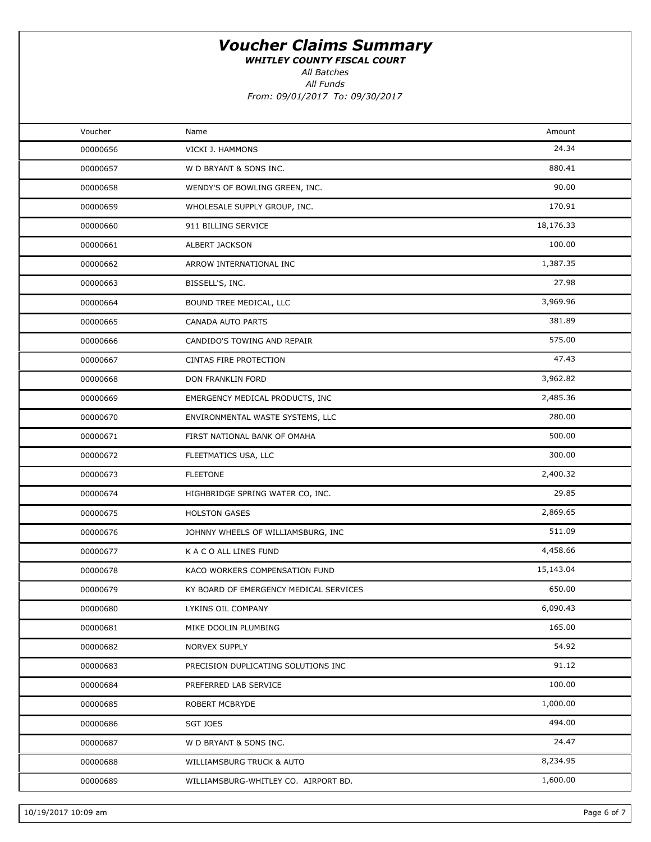WHITLEY COUNTY FISCAL COURT

All Batches

All Funds From: 09/01/2017 To: 09/30/2017

| Voucher  | Name                                   | Amount    |  |
|----------|----------------------------------------|-----------|--|
| 00000656 | VICKI J. HAMMONS                       | 24.34     |  |
| 00000657 | W D BRYANT & SONS INC.                 | 880.41    |  |
| 00000658 | WENDY'S OF BOWLING GREEN, INC.         | 90.00     |  |
| 00000659 | WHOLESALE SUPPLY GROUP, INC.           | 170.91    |  |
| 00000660 | 911 BILLING SERVICE                    | 18,176.33 |  |
| 00000661 | ALBERT JACKSON                         | 100.00    |  |
| 00000662 | ARROW INTERNATIONAL INC                | 1,387.35  |  |
| 00000663 | BISSELL'S, INC.                        | 27.98     |  |
| 00000664 | BOUND TREE MEDICAL, LLC                | 3,969.96  |  |
| 00000665 | CANADA AUTO PARTS                      | 381.89    |  |
| 00000666 | CANDIDO'S TOWING AND REPAIR            | 575.00    |  |
| 00000667 | CINTAS FIRE PROTECTION                 | 47.43     |  |
| 00000668 | DON FRANKLIN FORD                      | 3,962.82  |  |
| 00000669 | EMERGENCY MEDICAL PRODUCTS, INC        | 2,485.36  |  |
| 00000670 | ENVIRONMENTAL WASTE SYSTEMS, LLC       | 280.00    |  |
| 00000671 | FIRST NATIONAL BANK OF OMAHA           | 500.00    |  |
| 00000672 | FLEETMATICS USA, LLC                   | 300.00    |  |
| 00000673 | <b>FLEETONE</b>                        | 2,400.32  |  |
| 00000674 | HIGHBRIDGE SPRING WATER CO, INC.       | 29.85     |  |
| 00000675 | <b>HOLSTON GASES</b>                   | 2,869.65  |  |
| 00000676 | JOHNNY WHEELS OF WILLIAMSBURG, INC     | 511.09    |  |
| 00000677 | K A C O ALL LINES FUND                 | 4,458.66  |  |
| 00000678 | KACO WORKERS COMPENSATION FUND         | 15,143.04 |  |
| 00000679 | KY BOARD OF EMERGENCY MEDICAL SERVICES | 650.00    |  |
| 00000680 | LYKINS OIL COMPANY                     | 6,090.43  |  |
| 00000681 | MIKE DOOLIN PLUMBING                   | 165.00    |  |
| 00000682 | NORVEX SUPPLY                          | 54.92     |  |
| 00000683 | PRECISION DUPLICATING SOLUTIONS INC    | 91.12     |  |
| 00000684 | PREFERRED LAB SERVICE                  | 100.00    |  |
| 00000685 | ROBERT MCBRYDE                         | 1,000.00  |  |
| 00000686 | SGT JOES                               | 494.00    |  |
| 00000687 | W D BRYANT & SONS INC.                 | 24.47     |  |
| 00000688 | WILLIAMSBURG TRUCK & AUTO              | 8,234.95  |  |
| 00000689 | WILLIAMSBURG-WHITLEY CO. AIRPORT BD.   | 1,600.00  |  |
|          |                                        |           |  |